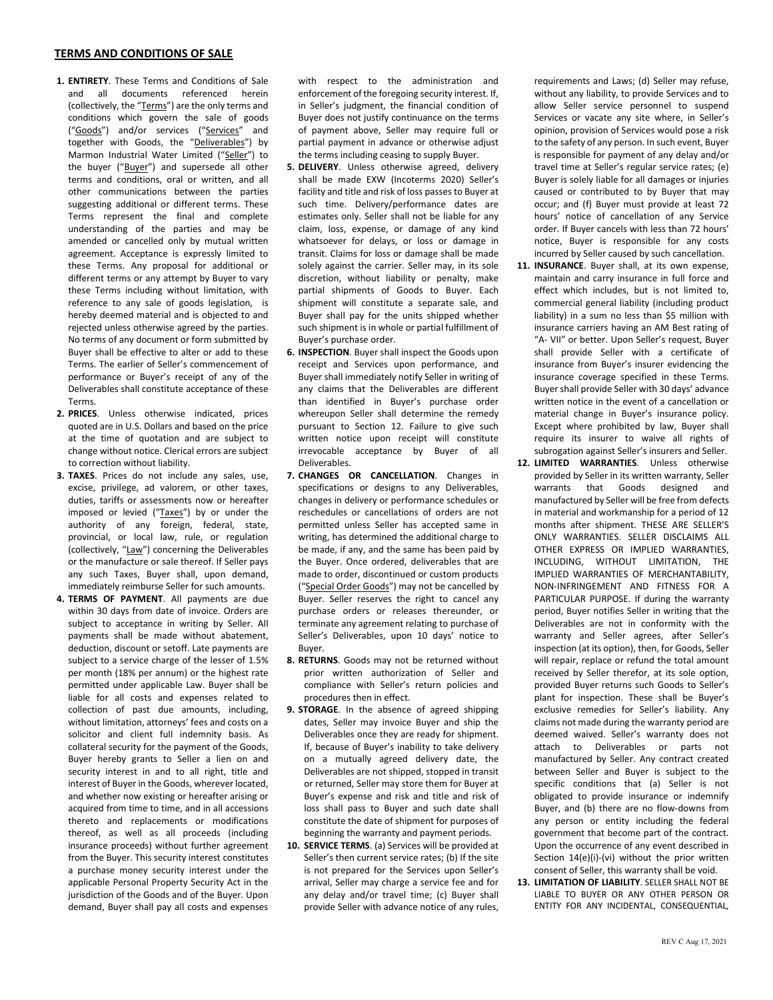## **TERMS AND CONDITIONS OF SALE**

- **1. ENTIRETY**. These Terms and Conditions of Sale and all documents referenced herein (collectively, the "Terms") are the only terms and conditions which govern the sale of goods ("Goods") and/or services ("Services" and together with Goods, the "Deliverables") by Marmon Industrial Water Limited ("Seller") to the buyer ("Buyer") and supersede all other terms and conditions, oral or written, and all other communications between the parties suggesting additional or different terms. These Terms represent the final and complete understanding of the parties and may be amended or cancelled only by mutual written agreement. Acceptance is expressly limited to these Terms. Any proposal for additional or different terms or any attempt by Buyer to vary these Terms including without limitation, with reference to any sale of goods legislation, is hereby deemed material and is objected to and rejected unless otherwise agreed by the parties. No terms of any document or form submitted by Buyer shall be effective to alter or add to these Terms. The earlier of Seller's commencement of performance or Buyer's receipt of any of the Deliverables shall constitute acceptance of these Terms.
- **2. PRICES**. Unless otherwise indicated, prices quoted are in U.S. Dollars and based on the price at the time of quotation and are subject to change without notice. Clerical errors are subject to correction without liability.
- **3. TAXES**. Prices do not include any sales, use, excise, privilege, ad valorem, or other taxes, duties, tariffs or assessments now or hereafter imposed or levied ("Taxes") by or under the authority of any foreign, federal, state, provincial, or local law, rule, or regulation (collectively, "Law") concerning the Deliverables or the manufacture or sale thereof. If Seller pays any such Taxes, Buyer shall, upon demand, immediately reimburse Seller for such amounts.
- **4. TERMS OF PAYMENT**. All payments are due within 30 days from date of invoice. Orders are subject to acceptance in writing by Seller. All payments shall be made without abatement, deduction, discount or setoff. Late payments are subject to a service charge of the lesser of 1.5% per month (18% per annum) or the highest rate permitted under applicable Law. Buyer shall be liable for all costs and expenses related to collection of past due amounts, including, without limitation, attorneys' fees and costs on a solicitor and client full indemnity basis. As collateral security for the payment of the Goods, Buyer hereby grants to Seller a lien on and security interest in and to all right, title and interest of Buyer in the Goods, wherever located, and whether now existing or hereafter arising or acquired from time to time, and in all accessions thereto and replacements or modifications thereof, as well as all proceeds (including insurance proceeds) without further agreement from the Buyer. This security interest constitutes a purchase money security interest under the applicable Personal Property Security Act in the jurisdiction of the Goods and of the Buyer. Upon demand, Buyer shall pay all costs and expenses

with respect to the administration and enforcement of the foregoing security interest. If, in Seller's judgment, the financial condition of Buyer does not justify continuance on the terms of payment above, Seller may require full or partial payment in advance or otherwise adjust the terms including ceasing to supply Buyer.

- **5. DELIVERY**. Unless otherwise agreed, delivery shall be made EXW (Incoterms 2020) Seller's facility and title and risk of loss passes to Buyer at such time. Delivery/performance dates are estimates only. Seller shall not be liable for any claim, loss, expense, or damage of any kind whatsoever for delays, or loss or damage in transit. Claims for loss or damage shall be made solely against the carrier. Seller may, in its sole discretion, without liability or penalty, make partial shipments of Goods to Buyer. Each shipment will constitute a separate sale, and Buyer shall pay for the units shipped whether such shipment is in whole or partial fulfillment of Buyer's purchase order.
- **6. INSPECTION**. Buyer shall inspect the Goods upon receipt and Services upon performance, and Buyer shall immediately notify Seller in writing of any claims that the Deliverables are different than identified in Buyer's purchase order whereupon Seller shall determine the remedy pursuant to Section 12. Failure to give such written notice upon receipt will constitute irrevocable acceptance by Buyer of all Deliverables.
- **7. CHANGES OR CANCELLATION**. Changes in specifications or designs to any Deliverables, changes in delivery or performance schedules or reschedules or cancellations of orders are not permitted unless Seller has accepted same in writing, has determined the additional charge to be made, if any, and the same has been paid by the Buyer. Once ordered, deliverables that are made to order, discontinued or custom products ("Special Order Goods") may not be cancelled by Buyer. Seller reserves the right to cancel any purchase orders or releases thereunder, or terminate any agreement relating to purchase of Seller's Deliverables, upon 10 days' notice to Buyer.
- **8. RETURNS**. Goods may not be returned without prior written authorization of Seller and compliance with Seller's return policies and procedures then in effect.
- **9. STORAGE**. In the absence of agreed shipping dates, Seller may invoice Buyer and ship the Deliverables once they are ready for shipment. If, because of Buyer's inability to take delivery on a mutually agreed delivery date, the Deliverables are not shipped, stopped in transit or returned, Seller may store them for Buyer at Buyer's expense and risk and title and risk of loss shall pass to Buyer and such date shall constitute the date of shipment for purposes of beginning the warranty and payment periods.
- **10. SERVICE TERMS**. (a) Services will be provided at Seller's then current service rates; (b) If the site is not prepared for the Services upon Seller's arrival, Seller may charge a service fee and for any delay and/or travel time; (c) Buyer shall provide Seller with advance notice of any rules,

requirements and Laws; (d) Seller may refuse, without any liability, to provide Services and to allow Seller service personnel to suspend Services or vacate any site where, in Seller's opinion, provision of Services would pose a risk to the safety of any person. In such event, Buyer is responsible for payment of any delay and/or travel time at Seller's regular service rates; (e) Buyer is solely liable for all damages or injuries caused or contributed to by Buyer that may occur; and (f) Buyer must provide at least 72 hours' notice of cancellation of any Service order. If Buyer cancels with less than 72 hours' notice, Buyer is responsible for any costs incurred by Seller caused by such cancellation.

- **11. INSURANCE**. Buyer shall, at its own expense, maintain and carry insurance in full force and effect which includes, but is not limited to, commercial general liability (including product liability) in a sum no less than \$5 million with insurance carriers having an AM Best rating of "A- VII" or better. Upon Seller's request, Buyer shall provide Seller with a certificate of insurance from Buyer's insurer evidencing the insurance coverage specified in these Terms. Buyer shall provide Seller with 30 days' advance written notice in the event of a cancellation or material change in Buyer's insurance policy. Except where prohibited by law, Buyer shall require its insurer to waive all rights of subrogation against Seller's insurers and Seller.
- **12. LIMITED WARRANTIES**. Unless otherwise provided by Seller in its written warranty, Seller warrants that Goods designed and manufactured by Seller will be free from defects in material and workmanship for a period of 12 months after shipment. THESE ARE SELLER'S ONLY WARRANTIES. SELLER DISCLAIMS ALL OTHER EXPRESS OR IMPLIED WARRANTIES, INCLUDING, WITHOUT LIMITATION, THE IMPLIED WARRANTIES OF MERCHANTABILITY, NON-INFRINGEMENT AND FITNESS FOR A PARTICULAR PURPOSE. If during the warranty period, Buyer notifies Seller in writing that the Deliverables are not in conformity with the warranty and Seller agrees, after Seller's inspection (at its option), then, for Goods, Seller will repair, replace or refund the total amount received by Seller therefor, at its sole option, provided Buyer returns such Goods to Seller's plant for inspection. These shall be Buyer's exclusive remedies for Seller's liability. Any claims not made during the warranty period are deemed waived. Seller's warranty does not attach to Deliverables or parts not manufactured by Seller. Any contract created between Seller and Buyer is subject to the specific conditions that (a) Seller is not obligated to provide insurance or indemnify Buyer, and (b) there are no flow-downs from any person or entity including the federal government that become part of the contract. Upon the occurrence of any event described in Section 14(e)(i)-(vi) without the prior written consent of Seller, this warranty shall be void.
- **13. LIMITATION OF LIABILITY**. SELLER SHALL NOT BE LIABLE TO BUYER OR ANY OTHER PERSON OR ENTITY FOR ANY INCIDENTAL, CONSEQUENTIAL,